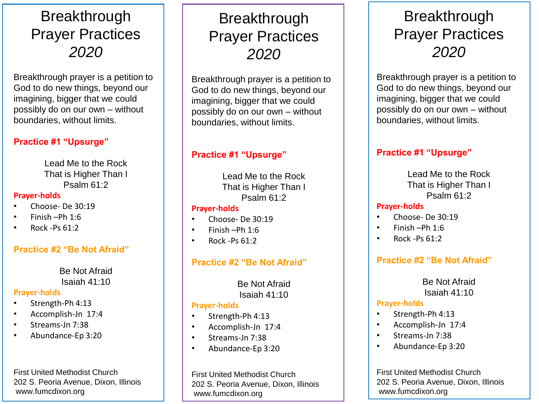# **Breakthrough** Prayer Practices *2020*

Breakthrough prayer is a petition to God to do new things, beyond our imagining, bigger that we could possibly do on our own – without boundaries, without limits.

## **Practice #1 "Upsurge"**

Lead Me to the Rock That is Higher Than I Psalm 61:2

#### **Prayer-holds**

- Choose- De 30:19
- Finish –Ph 1:6
- Rock -Ps 61:2

#### **Practice #2 "Be Not Afraid"**

Be Not Afraid Isaiah 41:10

#### **Prayer-holds**

- Strength-Ph 4:13
- Accomplish-Jn 17:4
- Streams-Jn 7:38
- Abundance-Ep 3:20

First United Methodist Church 202 S. Peoria Avenue, Dixon, Illinois www.fumcdixon.org

# **Breakthrough** Prayer Practices *2020*

Breakthrough prayer is a petition to God to do new things, beyond our imagining, bigger that we could possibly do on our own – without boundaries, without limits.

## **Practice #1 "Upsurge"**

Lead Me to the Rock That is Higher Than I Psalm 61:2

#### **Prayer-holds**

- Choose- De 30:19
- Finish –Ph 1:6
- Rock -Ps 61:2

## **Practice #2 "Be Not Afraid"**

Be Not Afraid Isaiah 41:10

#### **Prayer-holds**

- Strength-Ph 4:13
- Accomplish-Jn 17:4
- Streams-Jn 7:38
- Abundance-Ep 3:20

First United Methodist Church 202 S. Peoria Avenue, Dixon, Illinois www.fumcdixon.org

# **Breakthrough** Prayer Practices *2020*

Breakthrough prayer is a petition to God to do new things, beyond our imagining, bigger that we could possibly do on our own – without boundaries, without limits.

## **Practice #1 "Upsurge"**

Lead Me to the Rock That is Higher Than I Psalm 61:2

#### **Prayer-holds**

- Choose- De 30:19
- Finish –Ph 1:6
- Rock -Ps 61:2

## **Practice #2 "Be Not Afraid"**

#### Be Not Afraid Isaiah 41:10

#### **Prayer-holds**

- Strength-Ph 4:13
- Accomplish-Jn 17:4
- Streams-Jn 7:38
- Abundance-Ep 3:20

First United Methodist Church 202 S. Peoria Avenue, Dixon, Illinois www.fumcdixon.org